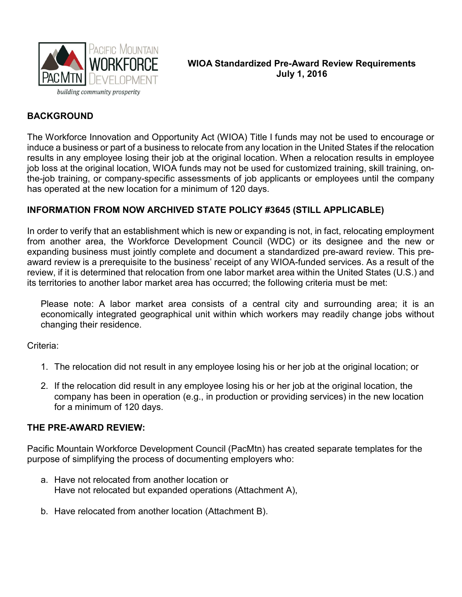

WIOA Standardized Pre-Award Review Requirements July 1, 2016

# **BACKGROUND**

The Workforce Innovation and Opportunity Act (WIOA) Title I funds may not be used to encourage or induce a business or part of a business to relocate from any location in the United States if the relocation results in any employee losing their job at the original location. When a relocation results in employee job loss at the original location, WIOA funds may not be used for customized training, skill training, onthe-job training, or company-specific assessments of job applicants or employees until the company has operated at the new location for a minimum of 120 days.

# INFORMATION FROM NOW ARCHIVED STATE POLICY #3645 (STILL APPLICABLE)

In order to verify that an establishment which is new or expanding is not, in fact, relocating employment from another area, the Workforce Development Council (WDC) or its designee and the new or expanding business must jointly complete and document a standardized pre-award review. This preaward review is a prerequisite to the business' receipt of any WIOA-funded services. As a result of the review, if it is determined that relocation from one labor market area within the United States (U.S.) and its territories to another labor market area has occurred; the following criteria must be met:

Please note: A labor market area consists of a central city and surrounding area; it is an economically integrated geographical unit within which workers may readily change jobs without changing their residence.

Criteria:

- 1. The relocation did not result in any employee losing his or her job at the original location; or
- 2. If the relocation did result in any employee losing his or her job at the original location, the company has been in operation (e.g., in production or providing services) in the new location for a minimum of 120 days.

# THE PRE-AWARD REVIEW:

Pacific Mountain Workforce Development Council (PacMtn) has created separate templates for the purpose of simplifying the process of documenting employers who:

- a. Have not relocated from another location or Have not relocated but expanded operations (Attachment A),
- b. Have relocated from another location (Attachment B).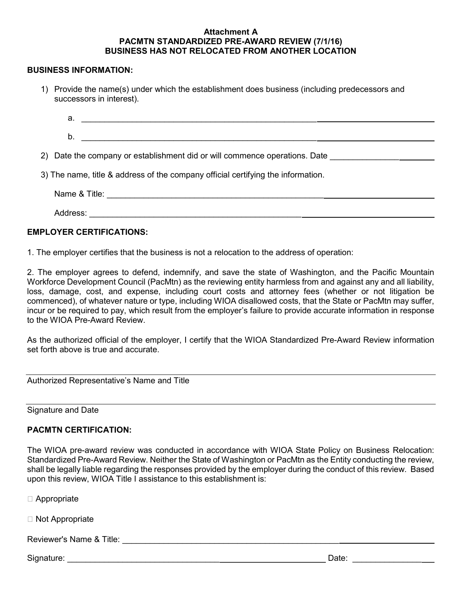### Attachment A PACMTN STANDARDIZED PRE-AWARD REVIEW (7/1/16) BUSINESS HAS NOT RELOCATED FROM ANOTHER LOCATION

#### BUSINESS INFORMATION:

1) Provide the name(s) under which the establishment does business (including predecessors and successors in interest).

| а.                                                                         |  |  |  |
|----------------------------------------------------------------------------|--|--|--|
| D.                                                                         |  |  |  |
| 2) Date the company or establishment did or will commence operations. Date |  |  |  |

3) The name, title & address of the company official certifying the information.

| Name &<br>litle: |  |  |  |
|------------------|--|--|--|
|                  |  |  |  |

## EMPLOYER CERTIFICATIONS:

1. The employer certifies that the business is not a relocation to the address of operation:

Address: \_\_\_\_\_\_\_\_\_\_\_\_\_\_\_\_\_\_\_\_\_\_\_\_\_\_\_\_\_\_\_\_\_\_\_\_\_\_\_\_\_\_\_\_\_\_

2. The employer agrees to defend, indemnify, and save the state of Washington, and the Pacific Mountain Workforce Development Council (PacMtn) as the reviewing entity harmless from and against any and all liability, loss, damage, cost, and expense, including court costs and attorney fees (whether or not litigation be commenced), of whatever nature or type, including WIOA disallowed costs, that the State or PacMtn may suffer, incur or be required to pay, which result from the employer's failure to provide accurate information in response to the WIOA Pre-Award Review.

As the authorized official of the employer, I certify that the WIOA Standardized Pre-Award Review information set forth above is true and accurate.

Authorized Representative's Name and Title

Signature and Date

## PACMTN CERTIFICATION:

The WIOA pre-award review was conducted in accordance with WIOA State Policy on Business Relocation: Standardized Pre-Award Review. Neither the State of Washington or PacMtn as the Entity conducting the review, shall be legally liable regarding the responses provided by the employer during the conduct of this review. Based upon this review, WIOA Title I assistance to this establishment is:

□ Appropriate

□ Not Appropriate

Reviewer's Name & Title: \_\_\_\_\_\_\_\_\_\_\_\_\_\_\_\_\_\_\_\_\_\_\_\_\_\_\_\_\_\_\_\_\_\_\_\_\_\_\_\_\_\_\_\_\_\_\_

Signature: \_\_\_\_\_\_\_\_\_\_\_\_\_\_\_\_\_\_\_\_\_\_\_\_\_\_\_\_\_\_\_\_\_ Date: \_\_\_\_\_\_\_\_\_\_\_\_\_\_\_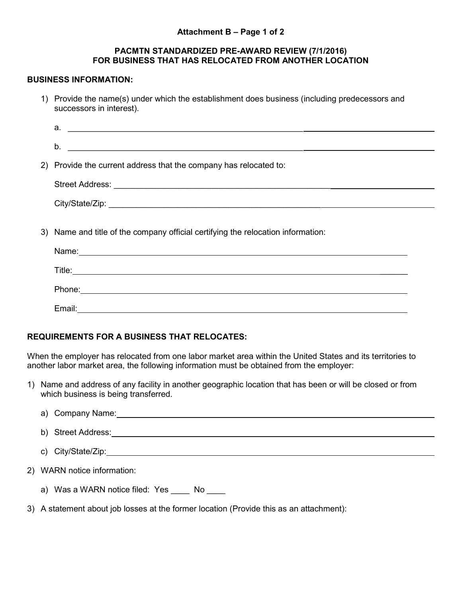## Attachment B – Page 1 of 2

### PACMTN STANDARDIZED PRE-AWARD REVIEW (7/1/2016) FOR BUSINESS THAT HAS RELOCATED FROM ANOTHER LOCATION

#### BUSINESS INFORMATION:

1) Provide the name(s) under which the establishment does business (including predecessors and successors in interest).

| $\mathsf{a.}$ $\qquad \qquad$                                                                                                                                                                                                 |
|-------------------------------------------------------------------------------------------------------------------------------------------------------------------------------------------------------------------------------|
| $\mathsf b.$                                                                                                                                                                                                                  |
| 2) Provide the current address that the company has relocated to:                                                                                                                                                             |
|                                                                                                                                                                                                                               |
|                                                                                                                                                                                                                               |
| 3) Name and title of the company official certifying the relocation information:                                                                                                                                              |
| Name: Name: Name: Name: Name: Name: Name: Name: Name: Name: Name: Name: Name: Name: Name: Name: Name: Name: Name: Name: Name: Name: Name: Name: Name: Name: Name: Name: Name: Name: Name: Name: Name: Name: Name: Name: Name: |
|                                                                                                                                                                                                                               |
|                                                                                                                                                                                                                               |
|                                                                                                                                                                                                                               |

## REQUIREMENTS FOR A BUSINESS THAT RELOCATES:

Email:

When the employer has relocated from one labor market area within the United States and its territories to another labor market area, the following information must be obtained from the employer:

1) Name and address of any facility in another geographic location that has been or will be closed or from which business is being transferred.

|  | a) Company Name: 2008 2009 2012 2022 2023 2024 2022 2023 2024 2022 2023 2024 2022 2023 2024 2022 2024 2022 20 |
|--|---------------------------------------------------------------------------------------------------------------|
|  | b) Street Address:                                                                                            |
|  | c) City/State/Zip:                                                                                            |
|  | 2) WARN notice information:                                                                                   |
|  |                                                                                                               |

- a) Was a WARN notice filed: Yes No
- 3) A statement about job losses at the former location (Provide this as an attachment):